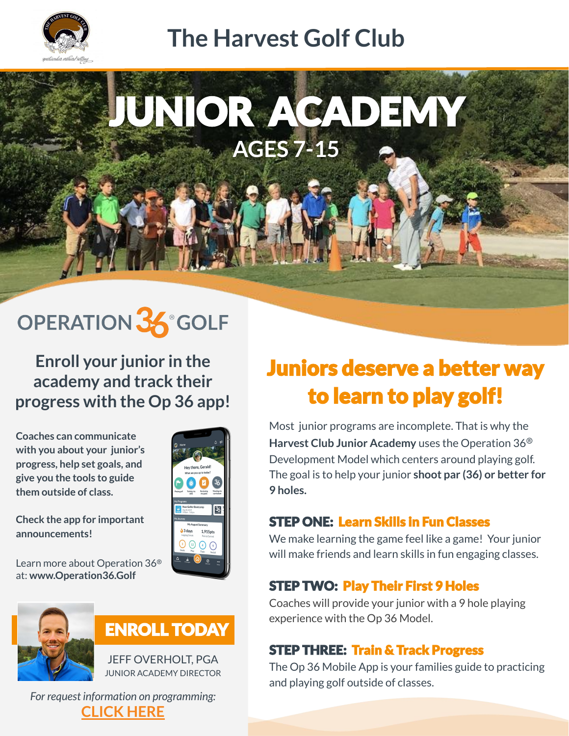

## **The Harvest Golf Club**

JUNIOR ACADEMY **AGES 7-15**

# OPERATION 36° GOLF

**Enroll your junior in the academy and track their progress with the Op 36 app!**

**Coaches can communicate with you about your junior's progress, help set goals, and give you the tools to guide them outside of class.**



**Check the app for important announcements!**

Learn more about Operation 36® at: **www.Operation36.Golf**



### **ENROLL TODAY**

JEFF OVERHOLT, PGA JUNIOR ACADEMY DIRECTOR

*For request information on programming:* **[CLICK HERE](https://operation36golf.com/#/community-map/1298)**

## **Juniors deserve a better way** to learn to play golf!

Most junior programs are incomplete. That is why the **Harvest Club Junior Academy** uses the Operation 36® Development Model which centers around playing golf. The goal is to help your junior **shoot par (36) or better for 9 holes.**

#### **STEP ONE: Learn Skills in Fun Classes**

We make learning the game feel like a game! Your junior will make friends and learn skills in fun engaging classes.

#### **STEP TWO: Play Their First 9 Holes**

Coaches will provide your junior with a 9 hole playing experience with the Op 36 Model.

#### **STEP THREE: Train & Track Progress**

The Op 36 Mobile App is your families guide to practicing and playing golf outside of classes.